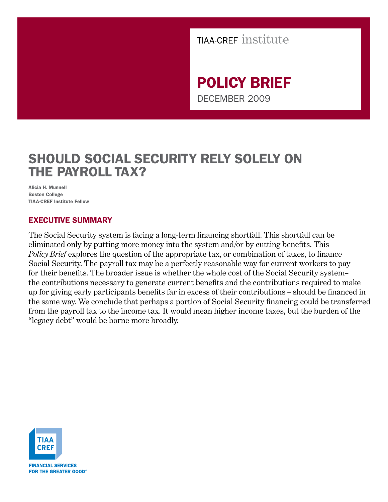

POLICY BRIEF DECEMBER 2009

# SHOULD SOCIAL SECURITY RELY SOLELY ON THE PAYROLL TAX?

Alicia H. Munnell Boston College TIAA-CREF Institute Fellow

### EXECUTIVE SUMMARY

The Social Security system is facing a long-term financing shortfall. This shortfall can be eliminated only by putting more money into the system and/or by cutting benefits. This *Policy Brief* explores the question of the appropriate tax, or combination of taxes, to finance Social Security. The payroll tax may be a perfectly reasonable way for current workers to pay for their benefits. The broader issue is whether the whole cost of the Social Security system– the contributions necessary to generate current benefits and the contributions required to make up for giving early participants benefits far in excess of their contributions – should be financed in the same way. We conclude that perhaps a portion of Social Security financing could be transferred from the payroll tax to the income tax. It would mean higher income taxes, but the burden of the "legacy debt" would be borne more broadly.

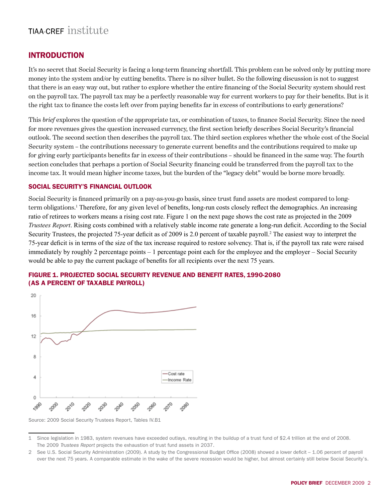### **INTRODUCTION**

It's no secret that Social Security is facing a long-term financing shortfall. This problem can be solved only by putting more money into the system and/or by cutting benefits. There is no silver bullet. So the following discussion is not to suggest that there is an easy way out, but rather to explore whether the entire financing of the Social Security system should rest on the payroll tax. The payroll tax may be a perfectly reasonable way for current workers to pay for their benefits. But is it the right tax to finance the costs left over from paying benefits far in excess of contributions to early generations?

This *brief* explores the question of the appropriate tax, or combination of taxes, to finance Social Security. Since the need for more revenues gives the question increased currency, the first section briefly describes Social Security's financial outlook. The second section then describes the payroll tax. The third section explores whether the whole cost of the Social Security system – the contributions necessary to generate current benefits and the contributions required to make up for giving early participants benefits far in excess of their contributions – should be financed in the same way. The fourth section concludes that perhaps a portion of Social Security financing could be transferred from the payroll tax to the income tax. It would mean higher income taxes, but the burden of the "legacy debt" would be borne more broadly.

#### Social Security's Financial Outlook

Social Security is financed primarily on a pay-as-you-go basis, since trust fund assets are modest compared to longterm obligations.<sup>1</sup> Therefore, for any given level of benefits, long-run costs closely reflect the demographics. An increasing ratio of retirees to workers means a rising cost rate. Figure 1 on the next page shows the cost rate as projected in the 2009 *Trustees Report*. Rising costs combined with a relatively stable income rate generate a long-run deficit. According to the Social Security Trustees, the projected 75-year deficit as of 2009 is 2.0 percent of taxable payroll.<sup>2</sup> The easiest way to interpret the 75-year deficit is in terms of the size of the tax increase required to restore solvency. That is, if the payroll tax rate were raised immediately by roughly 2 percentage points – 1 percentage point each for the employee and the employer – Social Security would be able to pay the current package of benefits for all recipients over the next 75 years.



#### FIGURE 1. PROJECTED SOCIAL SECURITY REVENUE AND BENEFIT RATES, 1990-2080 (AS A PERCENT OF TAXABLE PAYROLL)

Source: 2009 Social Security Trustees Report, Tables IV.B1

<sup>1</sup> Since legislation in 1983, system revenues have exceeded outlays, resulting in the buildup of a trust fund of \$2.4 trillion at the end of 2008. The 2009 *Trustees Report* projects the exhaustion of trust fund assets in 2037.

<sup>2</sup> See U.S. Social Security Administration (2009). A study by the Congressional Budget Office (2008) showed a lower deficit – 1.06 percent of payroll over the next 75 years. A comparable estimate in the wake of the severe recession would be higher, but almost certainly still below Social Security's.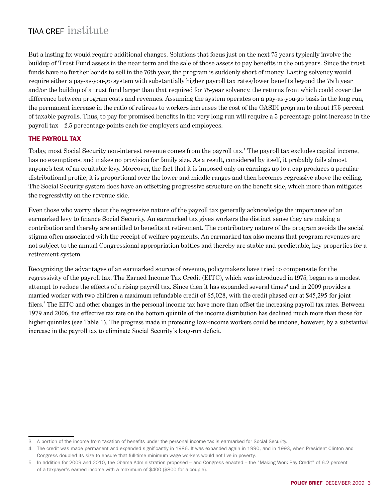But a lasting fix would require additional changes. Solutions that focus just on the next 75 years typically involve the buildup of Trust Fund assets in the near term and the sale of those assets to pay benefits in the out years. Since the trust funds have no further bonds to sell in the 76th year, the program is suddenly short of money. Lasting solvency would require either a pay-as-you-go system with substantially higher payroll tax rates/lower benefits beyond the 75th year and/or the buildup of a trust fund larger than that required for 75-year solvency, the returns from which could cover the difference between program costs and revenues. Assuming the system operates on a pay-as-you-go basis in the long run, the permanent increase in the ratio of retirees to workers increases the cost of the OASDI program to about 17.5 percent of taxable payrolls. Thus, to pay for promised benefits in the very long run will require a 5-percentage-point increase in the payroll tax – 2.5 percentage points each for employers and employees.

#### The Payroll Tax

Today, most Social Security non-interest revenue comes from the payroll tax.<sup>3</sup> The payroll tax excludes capital income, has no exemptions, and makes no provision for family size. As a result, considered by itself, it probably fails almost anyone's test of an equitable levy. Moreover, the fact that it is imposed only on earnings up to a cap produces a peculiar distributional profile; it is proportional over the lower and middle ranges and then becomes regressive above the ceiling. The Social Security system does have an offsetting progressive structure on the benefit side, which more than mitigates the regressivity on the revenue side.

Even those who worry about the regressive nature of the payroll tax generally acknowledge the importance of an earmarked levy to finance Social Security. An earmarked tax gives workers the distinct sense they are making a contribution and thereby are entitled to benefits at retirement. The contributory nature of the program avoids the social stigma often associated with the receipt of welfare payments. An earmarked tax also means that program revenues are not subject to the annual Congressional appropriation battles and thereby are stable and predictable, key properties for a retirement system.

Recognizing the advantages of an earmarked source of revenue, policymakers have tried to compensate for the regressivity of the payroll tax. The Earned Income Tax Credit (EITC), which was introduced in 1975, began as a modest attempt to reduce the effects of a rising payroll tax. Since then it has expanded several times<sup>4</sup> and in 2009 provides a married worker with two children a maximum refundable credit of \$5,028, with the credit phased out at \$45,295 for joint filers.<sup>5</sup> The EITC and other changes in the personal income tax have more than offset the increasing payroll tax rates. Between 1979 and 2006, the effective tax rate on the bottom quintile of the income distribution has declined much more than those for higher quintiles (see Table 1). The progress made in protecting low-income workers could be undone, however, by a substantial increase in the payroll tax to eliminate Social Security's long-run deficit.

<sup>3</sup> A portion of the income from taxation of benefits under the personal income tax is earmarked for Social Security.

<sup>4</sup> The credit was made permanent and expanded significantly in 1986. It was expanded again in 1990, and in 1993, when President Clinton and Congress doubled its size to ensure that full-time minimum wage workers would not live in poverty.

<sup>5</sup> In addition for 2009 and 2010, the Obama Administration proposed – and Congress enacted – the "Making Work Pay Credit" of 6.2 percent of a taxpayer's earned income with a maximum of \$400 (\$800 for a couple).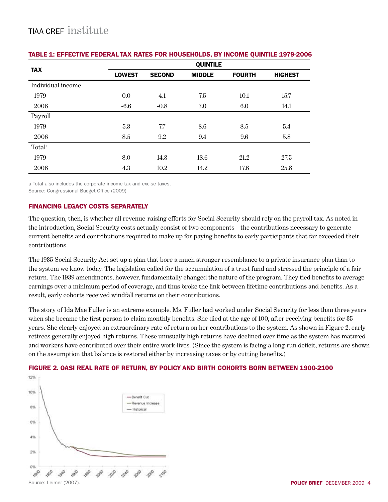| <b>TAX</b>         | <b>QUINTILE</b> |               |               |               |                |
|--------------------|-----------------|---------------|---------------|---------------|----------------|
|                    | <b>LOWEST</b>   | <b>SECOND</b> | <b>MIDDLE</b> | <b>FOURTH</b> | <b>HIGHEST</b> |
| Individual income  |                 |               |               |               |                |
| 1979               | 0.0             | 4.1           | 7.5           | 10.1          | 15.7           |
| 2006               | $-6.6$          | $-0.8$        | 3.0           | 6.0           | 14.1           |
| Payroll            |                 |               |               |               |                |
| 1979               | 5.3             | 7.7           | 8.6           | 8.5           | 5.4            |
| 2006               | 8.5             | 9.2           | 9.4           | 9.6           | 5.8            |
| Total <sup>a</sup> |                 |               |               |               |                |
| 1979               | 8.0             | 14.3          | 18.6          | 21.2          | 27.5           |
| 2006               | 4.3             | 10.2          | 14.2          | 17.6          | 25.8           |

#### TABLE 1: EFFECTIVE FEDERAL TAX RATES FOR HOUSEHOLDS, BY INCOME QUINTILE 1979-2006

a Total also includes the corporate income tax and excise taxes.

Source: Congressional Budget Office (2009)

#### Financing Legacy Costs Separately

The question, then, is whether all revenue-raising efforts for Social Security should rely on the payroll tax. As noted in the introduction, Social Security costs actually consist of two components – the contributions necessary to generate current benefits and contributions required to make up for paying benefits to early participants that far exceeded their contributions.

The 1935 Social Security Act set up a plan that bore a much stronger resemblance to a private insurance plan than to the system we know today. The legislation called for the accumulation of a trust fund and stressed the principle of a fair return. The 1939 amendments, however, fundamentally changed the nature of the program. They tied benefits to average earnings over a minimum period of coverage, and thus broke the link between lifetime contributions and benefits. As a result, early cohorts received windfall returns on their contributions.

The story of Ida Mae Fuller is an extreme example. Ms. Fuller had worked under Social Security for less than three years when she became the first person to claim monthly benefits. She died at the age of 100, after receiving benefits for 35 years. She clearly enjoyed an extraordinary rate of return on her contributions to the system. As shown in Figure 2, early retirees generally enjoyed high returns. These unusually high returns have declined over time as the system has matured and workers have contributed over their entire work-lives. (Since the system is facing a long-run deficit, returns are shown on the assumption that balance is restored either by increasing taxes or by cutting benefits.)

#### FIGURE 2. OASI REAL RATE OF RETURN, BY POLICY AND BIRTH COHORTS BORN BETWEEN 1900-2100

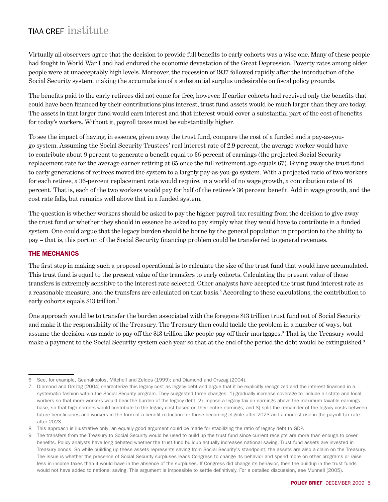Virtually all observers agree that the decision to provide full benefits to early cohorts was a wise one. Many of these people had fought in World War I and had endured the economic devastation of the Great Depression. Poverty rates among older people were at unacceptably high levels. Moreover, the recession of 1937 followed rapidly after the introduction of the Social Security system, making the accumulation of a substantial surplus undesirable on fiscal policy grounds.

The benefits paid to the early retirees did not come for free, however. If earlier cohorts had received only the benefits that could have been financed by their contributions plus interest, trust fund assets would be much larger than they are today. The assets in that larger fund would earn interest and that interest would cover a substantial part of the cost of benefits for today's workers. Without it, payroll taxes must be substantially higher.

To see the impact of having, in essence, given away the trust fund, compare the cost of a funded and a pay-as-yougo system. Assuming the Social Security Trustees' real interest rate of 2.9 percent, the average worker would have to contribute about 9 percent to generate a benefit equal to 36 percent of earnings (the projected Social Security replacement rate for the average earner retiring at 65 once the full retirement age equals 67). Giving away the trust fund to early generations of retirees moved the system to a largely pay-as-you-go system. With a projected ratio of two workers for each retiree, a 36-percent replacement rate would require, in a world of no wage growth, a contribution rate of 18 percent. That is, each of the two workers would pay for half of the retiree's 36 percent benefit. Add in wage growth, and the cost rate falls, but remains well above that in a funded system.

The question is whether workers should be asked to pay the higher payroll tax resulting from the decision to give away the trust fund or whether they should in essence be asked to pay simply what they would have to contribute in a funded system. One could argue that the legacy burden should be borne by the general population in proportion to the ability to pay – that is, this portion of the Social Security financing problem could be transferred to general revenues.

#### The Mechanics

The first step in making such a proposal operational is to calculate the size of the trust fund that would have accumulated. This trust fund is equal to the present value of the transfers to early cohorts. Calculating the present value of those transfers is extremely sensitive to the interest rate selected. Other analysts have accepted the trust fund interest rate as a reasonable measure, and the transfers are calculated on that basis.<sup>6</sup> According to these calculations, the contribution to early cohorts equals \$13 trillion.<sup>7</sup>

One approach would be to transfer the burden associated with the foregone \$13 trillion trust fund out of Social Security and make it the responsibility of the Treasury. The Treasury then could tackle the problem in a number of ways, but assume the decision was made to pay off the \$13 trillion like people pay off their mortgages.<sup>8</sup> That is, the Treasury would make a payment to the Social Security system each year so that at the end of the period the debt would be extinguished.<sup>9</sup>

<sup>6</sup> See, for example, Geanakoplos, Mitchell and Zeldes (1999); and Diamond and Orszag (2004).

<sup>7</sup> Diamond and Orszag (2004) characterize this legacy cost as legacy debt and argue that it be explicitly recognized and the interest financed in a systematic fashion within the Social Security program. They suggested three changes: 1) gradually increase coverage to include all state and local workers so that more workers would bear the burden of the legacy debt; 2) impose a legacy tax on earnings above the maximum taxable earnings base, so that high earners would contribute to the legacy cost based on their entire earnings; and 3) split the remainder of the legacy costs between future beneficiaries and workers in the form of a benefit reduction for those becoming eligible after 2023 and a modest rise in the payroll tax rate after 2023.

<sup>8</sup> This approach is illustrative only; an equally good argument could be made for stabilizing the ratio of legacy debt to GDP.

<sup>9</sup> The transfers from the Treasury to Social Security would be used to build up the trust fund since current receipts are more than enough to cover benefits. Policy analysts have long debated whether the trust fund buildup actually increases national saving. Trust fund assets are invested in Treasury bonds. So while building up these assets represents saving from Social Security's standpoint, the assets are also a claim on the Treasury. The issue is whether the presence of Social Security surpluses leads Congress to change its behavior and spend more on other programs or raise less in income taxes than it would have in the absence of the surpluses. If Congress did change its behavior, then the buildup in the trust funds would not have added to national saving. This argument is impossible to settle definitively. For a detailed discussion, see Munnell (2005).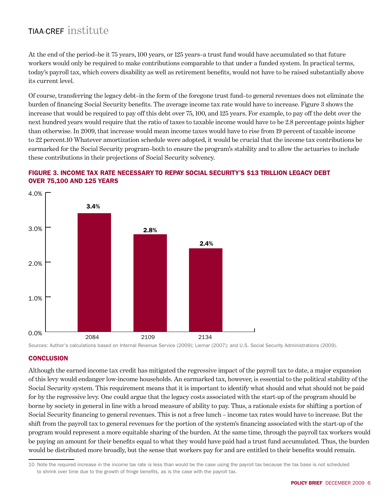At the end of the period–be it 75 years, 100 years, or 125 years–a trust fund would have accumulated so that future workers would only be required to make contributions comparable to that under a funded system. In practical terms, today's payroll tax, which covers disability as well as retirement benefits, would not have to be raised substantially above its current level.

Of course, transferring the legacy debt–in the form of the foregone trust fund–to general revenues does not eliminate the burden of financing Social Security benefits. The average income tax rate would have to increase. Figure 3 shows the increase that would be required to pay off this debt over 75, 100, and 125 years. For example, to pay off the debt over the next hundred years would require that the ratio of taxes to taxable income would have to be 2.8 percentage points higher than otherwise. In 2009, that increase would mean income taxes would have to rise from 19 percent of taxable income to 22 percent.10 Whatever amortization schedule were adopted, it would be crucial that the income tax contributions be earmarked for the Social Security program–both to ensure the program's stability and to allow the actuaries to include these contributions in their projections of Social Security solvency.







#### **CONCLUSION**

Although the earned income tax credit has mitigated the regressive impact of the payroll tax to date, a major expansion of this levy would endanger low-income households. An earmarked tax, however, is essential to the political stability of the Social Security system. This requirement means that it is important to identify what should and what should not be paid for by the regressive levy. One could argue that the legacy costs associated with the start-up of the program should be borne by society in general in line with a broad measure of ability to pay. Thus, a rationale exists for shifting a portion of Social Security financing to general revenues. This is not a free lunch – income tax rates would have to increase. But the shift from the payroll tax to general revenues for the portion of the system's financing associated with the start-up of the program would represent a more equitable sharing of the burden. At the same time, through the payroll tax workers would be paying an amount for their benefits equal to what they would have paid had a trust fund accumulated. Thus, the burden would be distributed more broadly, but the sense that workers pay for and are entitled to their benefits would remain.

<sup>10</sup> Note the required increase in the income tax rate is less than would be the case using the payroll tax because the tax base is not scheduled to shrink over time due to the growth of fringe benefits, as is the case with the payroll tax.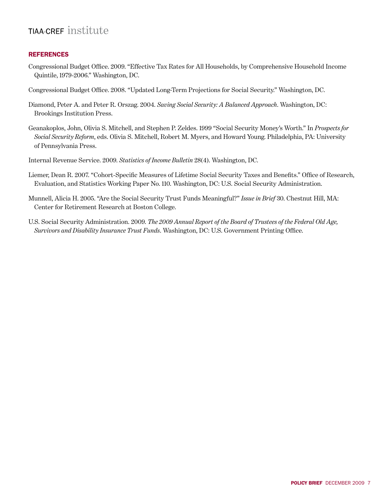#### **REFERENCES**

- Congressional Budget Office. 2009. "Effective Tax Rates for All Households, by Comprehensive Household Income Quintile, 1979-2006." Washington, DC.
- Congressional Budget Office. 2008. "Updated Long-Term Projections for Social Security." Washington, DC.
- Diamond, Peter A. and Peter R. Orszag. 2004. *Saving Social Security: A Balanced Approach*. Washington, DC: Brookings Institution Press.
- Geanakoplos, John, Olivia S. Mitchell, and Stephen P. Zeldes. 1999 "Social Security Money's Worth." In *Prospects for Social Security Reform*, eds. Olivia S. Mitchell, Robert M. Myers, and Howard Young. Philadelphia, PA: University of Pennsylvania Press.
- Internal Revenue Service. 2009. *Statistics of Income Bulletin* 28(4). Washington, DC.
- Liemer, Dean R. 2007. "Cohort-Specific Measures of Lifetime Social Security Taxes and Benefits." Office of Research, Evaluation, and Statistics Working Paper No. 110. Washington, DC: U.S. Social Security Administration.
- Munnell, Alicia H. 2005. "Are the Social Security Trust Funds Meaningful?" *Issue in Brief* 30. Chestnut Hill, MA: Center for Retirement Research at Boston College.
- U.S. Social Security Administration. 2009. *The 2009 Annual Report of the Board of Trustees of the Federal Old Age, Survivors and Disability Insurance Trust Funds*. Washington, DC: U.S. Government Printing Office.